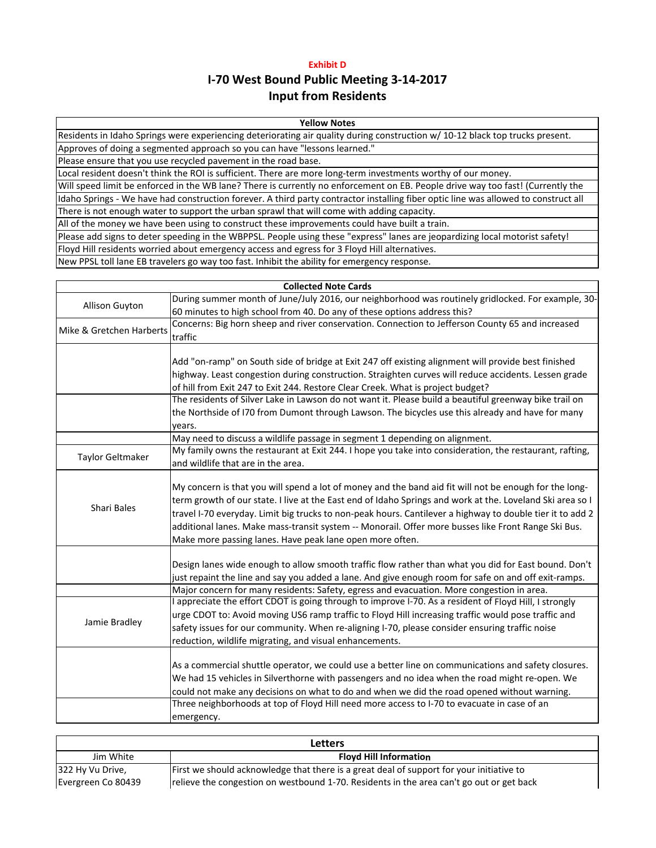# **Exhibit D Input from Residents I‐70 West Bound Public Meeting 3‐14‐2017**

# **Yellow Notes**

Residents in Idaho Springs were experiencing deteriorating air quality during construction w/ 10‐12 black top trucks present. Approves of doing a segmented approach so you can have "lessons learned."

Please ensure that you use recycled pavement in the road base.

Local resident doesn't think the ROI is sufficient. There are more long-term investments worthy of our money.

Will speed limit be enforced in the WB lane? There is currently no enforcement on EB. People drive way too fast! (Currently the Idaho Springs - We have had construction forever. A third party contractor installing fiber optic line was allowed to construct all There is not enough water to support the urban sprawl that will come with adding capacity.

All of the money we have been using to construct these improvements could have built a train.

Please add signs to deter speeding in the WBPPSL. People using these "express" lanes are jeopardizing local motorist safety! Floyd Hill residents worried about emergency access and egress for 3 Floyd Hill alternatives.

New PPSL toll lane EB travelers go way too fast. Inhibit the ability for emergency response.

| <b>Collected Note Cards</b> |                                                                                                           |  |
|-----------------------------|-----------------------------------------------------------------------------------------------------------|--|
| Allison Guyton              | During summer month of June/July 2016, our neighborhood was routinely gridlocked. For example, 30-        |  |
|                             | 60 minutes to high school from 40. Do any of these options address this?                                  |  |
| Mike & Gretchen Harberts    | Concerns: Big horn sheep and river conservation. Connection to Jefferson County 65 and increased          |  |
|                             | traffic                                                                                                   |  |
|                             |                                                                                                           |  |
|                             | Add "on-ramp" on South side of bridge at Exit 247 off existing alignment will provide best finished       |  |
|                             | highway. Least congestion during construction. Straighten curves will reduce accidents. Lessen grade      |  |
|                             | of hill from Exit 247 to Exit 244. Restore Clear Creek. What is project budget?                           |  |
|                             | The residents of Silver Lake in Lawson do not want it. Please build a beautiful greenway bike trail on    |  |
|                             | the Northside of I70 from Dumont through Lawson. The bicycles use this already and have for many          |  |
|                             | years.                                                                                                    |  |
|                             | May need to discuss a wildlife passage in segment 1 depending on alignment.                               |  |
| Taylor Geltmaker            | My family owns the restaurant at Exit 244. I hope you take into consideration, the restaurant, rafting,   |  |
|                             | and wildlife that are in the area.                                                                        |  |
|                             |                                                                                                           |  |
|                             | My concern is that you will spend a lot of money and the band aid fit will not be enough for the long-    |  |
| <b>Shari Bales</b>          | term growth of our state. I live at the East end of Idaho Springs and work at the. Loveland Ski area so I |  |
|                             | travel I-70 everyday. Limit big trucks to non-peak hours. Cantilever a highway to double tier it to add 2 |  |
|                             | additional lanes. Make mass-transit system -- Monorail. Offer more busses like Front Range Ski Bus.       |  |
|                             | Make more passing lanes. Have peak lane open more often.                                                  |  |
|                             |                                                                                                           |  |
|                             | Design lanes wide enough to allow smooth traffic flow rather than what you did for East bound. Don't      |  |
|                             | just repaint the line and say you added a lane. And give enough room for safe on and off exit-ramps.      |  |
|                             | Major concern for many residents: Safety, egress and evacuation. More congestion in area.                 |  |
| Jamie Bradley               | I appreciate the effort CDOT is going through to improve I-70. As a resident of Floyd Hill, I strongly    |  |
|                             | urge CDOT to: Avoid moving US6 ramp traffic to Floyd Hill increasing traffic would pose traffic and       |  |
|                             | safety issues for our community. When re-aligning I-70, please consider ensuring traffic noise            |  |
|                             | reduction, wildlife migrating, and visual enhancements.                                                   |  |
|                             | As a commercial shuttle operator, we could use a better line on communications and safety closures.       |  |
|                             | We had 15 vehicles in Silverthorne with passengers and no idea when the road might re-open. We            |  |
|                             | could not make any decisions on what to do and when we did the road opened without warning.               |  |
|                             | Three neighborhoods at top of Floyd Hill need more access to I-70 to evacuate in case of an               |  |
|                             |                                                                                                           |  |
|                             | emergency.                                                                                                |  |

| Letters            |                                                                                          |  |
|--------------------|------------------------------------------------------------------------------------------|--|
| Jim White          | <b>Floyd Hill Information</b>                                                            |  |
| 322 Hy Vu Drive,   | First we should acknowledge that there is a great deal of support for your initiative to |  |
| Evergreen Co 80439 | relieve the congestion on westbound 1-70. Residents in the area can't go out or get back |  |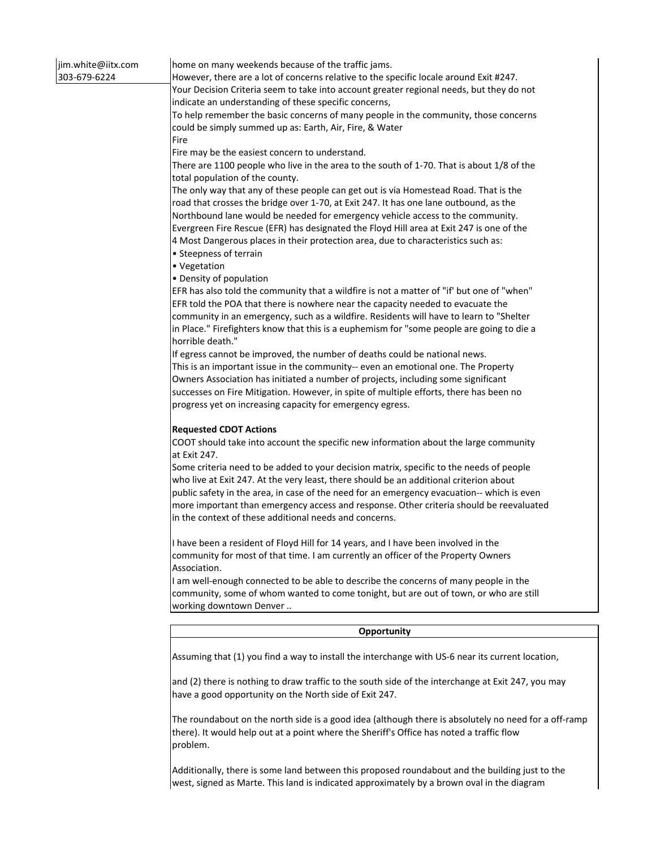| jim.white@iitx.com<br>303-679-6224 | home on many weekends because of the traffic jams.<br>However, there are a lot of concerns relative to the specific locale around Exit #247.<br>Your Decision Criteria seem to take into account greater regional needs, but they do not<br>indicate an understanding of these specific concerns,<br>To help remember the basic concerns of many people in the community, those concerns<br>could be simply summed up as: Earth, Air, Fire, & Water<br>Fire                                                                                                                                                        |
|------------------------------------|--------------------------------------------------------------------------------------------------------------------------------------------------------------------------------------------------------------------------------------------------------------------------------------------------------------------------------------------------------------------------------------------------------------------------------------------------------------------------------------------------------------------------------------------------------------------------------------------------------------------|
|                                    | Fire may be the easiest concern to understand.<br>There are 1100 people who live in the area to the south of 1-70. That is about 1/8 of the                                                                                                                                                                                                                                                                                                                                                                                                                                                                        |
|                                    | total population of the county.                                                                                                                                                                                                                                                                                                                                                                                                                                                                                                                                                                                    |
|                                    | The only way that any of these people can get out is via Homestead Road. That is the<br>road that crosses the bridge over 1-70, at Exit 247. It has one lane outbound, as the<br>Northbound lane would be needed for emergency vehicle access to the community.<br>Evergreen Fire Rescue (EFR) has designated the Floyd Hill area at Exit 247 is one of the<br>4 Most Dangerous places in their protection area, due to characteristics such as:<br>• Steepness of terrain<br>• Vegetation<br>• Density of population<br>EFR has also told the community that a wildfire is not a matter of "if' but one of "when" |
|                                    | EFR told the POA that there is nowhere near the capacity needed to evacuate the                                                                                                                                                                                                                                                                                                                                                                                                                                                                                                                                    |
|                                    | community in an emergency, such as a wildfire. Residents will have to learn to "Shelter<br>in Place." Firefighters know that this is a euphemism for "some people are going to die a<br>horrible death."                                                                                                                                                                                                                                                                                                                                                                                                           |
|                                    | If egress cannot be improved, the number of deaths could be national news.                                                                                                                                                                                                                                                                                                                                                                                                                                                                                                                                         |
|                                    | This is an important issue in the community-- even an emotional one. The Property<br>Owners Association has initiated a number of projects, including some significant<br>successes on Fire Mitigation. However, in spite of multiple efforts, there has been no<br>progress yet on increasing capacity for emergency egress.                                                                                                                                                                                                                                                                                      |
|                                    |                                                                                                                                                                                                                                                                                                                                                                                                                                                                                                                                                                                                                    |
|                                    | <b>Requested CDOT Actions</b><br>COOT should take into account the specific new information about the large community<br>at Exit 247.                                                                                                                                                                                                                                                                                                                                                                                                                                                                              |
|                                    | Some criteria need to be added to your decision matrix, specific to the needs of people                                                                                                                                                                                                                                                                                                                                                                                                                                                                                                                            |
|                                    | who live at Exit 247. At the very least, there should be an additional criterion about                                                                                                                                                                                                                                                                                                                                                                                                                                                                                                                             |
|                                    | public safety in the area, in case of the need for an emergency evacuation-- which is even<br>more important than emergency access and response. Other criteria should be reevaluated<br>in the context of these additional needs and concerns.                                                                                                                                                                                                                                                                                                                                                                    |
|                                    | I have been a resident of Floyd Hill for 14 years, and I have been involved in the<br>community for most of that time. I am currently an officer of the Property Owners<br>Association.                                                                                                                                                                                                                                                                                                                                                                                                                            |
|                                    | I am well-enough connected to be able to describe the concerns of many people in the<br>community, some of whom wanted to come tonight, but are out of town, or who are still<br>working downtown Denver                                                                                                                                                                                                                                                                                                                                                                                                           |
|                                    | Opportunity                                                                                                                                                                                                                                                                                                                                                                                                                                                                                                                                                                                                        |
|                                    |                                                                                                                                                                                                                                                                                                                                                                                                                                                                                                                                                                                                                    |
|                                    | Assuming that (1) you find a way to install the interchange with US-6 near its current location,                                                                                                                                                                                                                                                                                                                                                                                                                                                                                                                   |
|                                    | and (2) there is nothing to draw traffic to the south side of the interchange at Exit 247, you may<br>have a good opportunity on the North side of Exit 247.                                                                                                                                                                                                                                                                                                                                                                                                                                                       |

The roundabout on the north side is a good idea (although there is absolutely no need for a off‐ramp there). It would help out at a point where the Sheriff's Office has noted a traffic flow problem.

Additionally, there is some land between this proposed roundabout and the building just to the west, signed as Marte. This land is indicated approximately by a brown oval in the diagram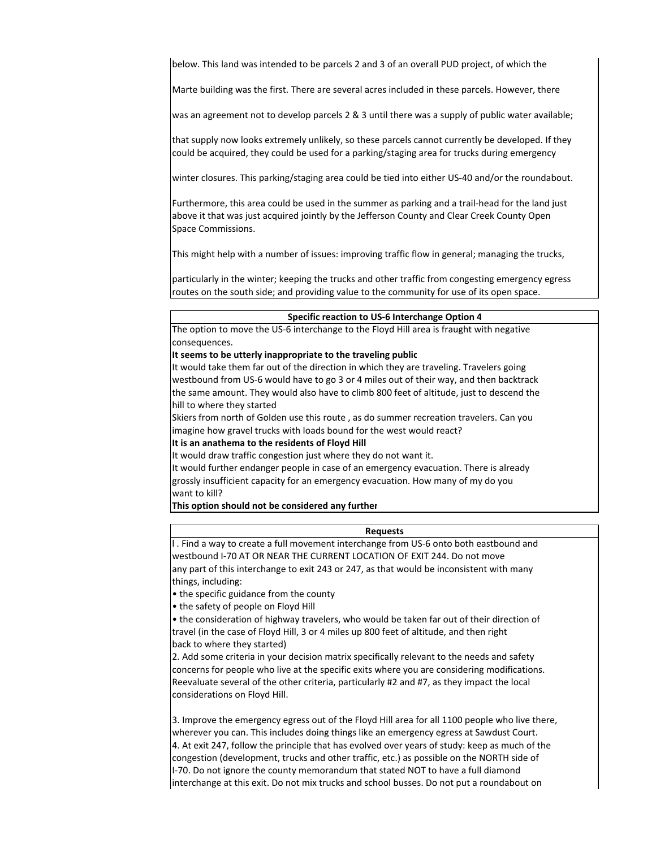below. This land was intended to be parcels 2 and 3 of an overall PUD project, of which the

Marte building was the first. There are several acres included in these parcels. However, there

was an agreement not to develop parcels 2 & 3 until there was a supply of public water available;

that supply now looks extremely unlikely, so these parcels cannot currently be developed. If they could be acquired, they could be used for a parking/staging area for trucks during emergency

winter closures. This parking/staging area could be tied into either US‐40 and/or the roundabout.

Furthermore, this area could be used in the summer as parking and a trail‐head for the land just above it that was just acquired jointly by the Jefferson County and Clear Creek County Open Space Commissions.

This might help with a number of issues: improving traffic flow in general; managing the trucks,

particularly in the winter; keeping the trucks and other traffic from congesting emergency egress routes on the south side; and providing value to the community for use of its open space.

#### **Specific reaction to US‐6 Interchange Option 4**

The option to move the US‐6 interchange to the Floyd Hill area is fraught with negative consequences.

#### **It seems to be utterly inappropriate to the traveling public**

It would take them far out of the direction in which they are traveling. Travelers going westbound from US‐6 would have to go 3 or 4 miles out of their way, and then backtrack the same amount. They would also have to climb 800 feet of altitude, just to descend the hill to where they started

Skiers from north of Golden use this route , as do summer recreation travelers. Can you imagine how gravel trucks with loads bound for the west would react?

### **It is an anathema to the residents of Floyd Hill**

It would draw traffic congestion just where they do not want it.

It would further endanger people in case of an emergency evacuation. There is already grossly insufficient capacity for an emergency evacuation. How many of my do you want to kill?

**This option should not be considered any further**

## **Requests**

l . Find a way to create a full movement interchange from US‐6 onto both eastbound and westbound I‐70 AT OR NEAR THE CURRENT LOCATION OF EXIT 244. Do not move any part of this interchange to exit 243 or 247, as that would be inconsistent with many things, including:

• the specific guidance from the county

• the safety of people on Floyd Hill

• the consideration of highway travelers, who would be taken far out of their direction of travel (in the case of Floyd Hill, 3 or 4 miles up 800 feet of altitude, and then right back to where they started)

2. Add some criteria in your decision matrix specifically relevant to the needs and safety concerns for people who live at the specific exits where you are considering modifications. Reevaluate several of the other criteria, particularly #2 and #7, as they impact the local considerations on Floyd Hill.

3. Improve the emergency egress out of the Floyd Hill area for all 1100 people who live there, wherever you can. This includes doing things like an emergency egress at Sawdust Court. 4. At exit 247, follow the principle that has evolved over years of study: keep as much of the congestion (development, trucks and other traffic, etc.) as possible on the NORTH side of I‐70. Do not ignore the county memorandum that stated NOT to have a full diamond interchange at this exit. Do not mix trucks and school busses. Do not put a roundabout on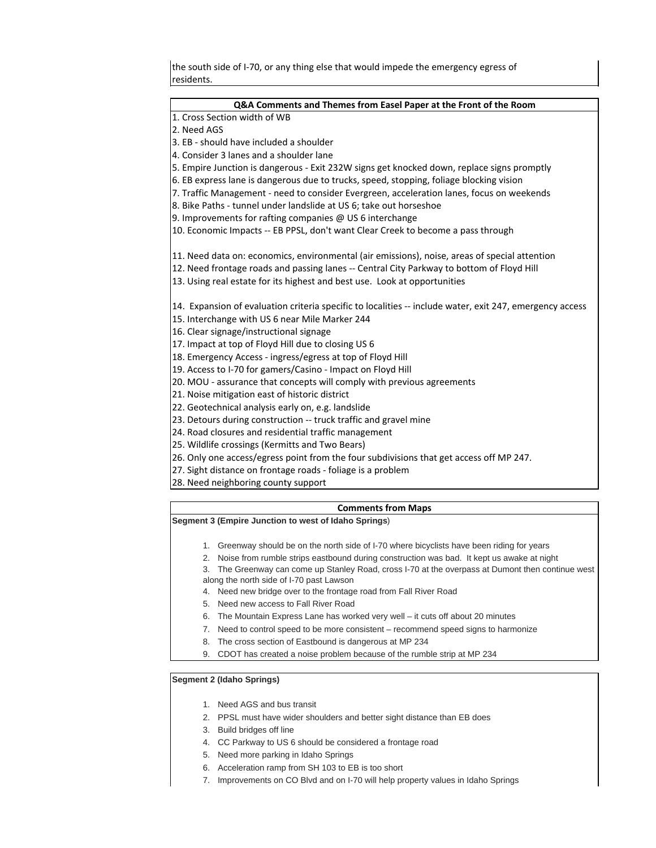the south side of I-70, or any thing else that would impede the emergency egress of residents.

| Q&A Comments and Themes from Easel Paper at the Front of the Room                                        |  |  |
|----------------------------------------------------------------------------------------------------------|--|--|
| 1. Cross Section width of WB                                                                             |  |  |
| 2. Need AGS                                                                                              |  |  |
| 3. EB - should have included a shoulder                                                                  |  |  |
| 4. Consider 3 lanes and a shoulder lane                                                                  |  |  |
| 5. Empire Junction is dangerous - Exit 232W signs get knocked down, replace signs promptly               |  |  |
| 6. EB express lane is dangerous due to trucks, speed, stopping, foliage blocking vision                  |  |  |
| 7. Traffic Management - need to consider Evergreen, acceleration lanes, focus on weekends                |  |  |
| 8. Bike Paths - tunnel under landslide at US 6; take out horseshoe                                       |  |  |
| 9. Improvements for rafting companies @ US 6 interchange                                                 |  |  |
| 10. Economic Impacts -- EB PPSL, don't want Clear Creek to become a pass through                         |  |  |
| 11. Need data on: economics, environmental (air emissions), noise, areas of special attention            |  |  |
| 12. Need frontage roads and passing lanes -- Central City Parkway to bottom of Floyd Hill                |  |  |
| 13. Using real estate for its highest and best use. Look at opportunities                                |  |  |
| 14. Expansion of evaluation criteria specific to localities -- include water, exit 247, emergency access |  |  |
| 15. Interchange with US 6 near Mile Marker 244                                                           |  |  |
| 16. Clear signage/instructional signage                                                                  |  |  |
| 17. Impact at top of Floyd Hill due to closing US 6                                                      |  |  |
| 18. Emergency Access - ingress/egress at top of Floyd Hill                                               |  |  |
| 19. Access to I-70 for gamers/Casino - Impact on Floyd Hill                                              |  |  |
| 20. MOU - assurance that concepts will comply with previous agreements                                   |  |  |
| 21. Noise mitigation east of historic district                                                           |  |  |
| 22. Geotechnical analysis early on, e.g. landslide                                                       |  |  |
| 23. Detours during construction -- truck traffic and gravel mine                                         |  |  |
| 24. Road closures and residential traffic management                                                     |  |  |
| 25. Wildlife crossings (Kermitts and Two Bears)                                                          |  |  |
| 26. Only one access/egress point from the four subdivisions that get access off MP 247.                  |  |  |
| 27. Sight distance on frontage roads - foliage is a problem                                              |  |  |
| 28. Need neighboring county support                                                                      |  |  |
| <b>Comments from Maps</b>                                                                                |  |  |
| Segment 3 (Empire Junction to west of Idaho Springs)                                                     |  |  |

- 1. Greenway should be on the north side of I-70 where bicyclists have been riding for years
- 2. Noise from rumble strips eastbound during construction was bad. It kept us awake at night
- 3. The Greenway can come up Stanley Road, cross I-70 at the overpass at Dumont then continue west along the north side of I-70 past Lawson
- 4. Need new bridge over to the frontage road from Fall River Road
- 5. Need new access to Fall River Road
- 6. The Mountain Express Lane has worked very well it cuts off about 20 minutes
- 7. Need to control speed to be more consistent recommend speed signs to harmonize
- 8. The cross section of Eastbound is dangerous at MP 234
- 9. CDOT has created a noise problem because of the rumble strip at MP 234

# **Segment 2 (Idaho Springs)**

- 1. Need AGS and bus transit
- 2. PPSL must have wider shoulders and better sight distance than EB does
- 3. Build bridges off line
- 4. CC Parkway to US 6 should be considered a frontage road
- 5. Need more parking in Idaho Springs
- 6. Acceleration ramp from SH 103 to EB is too short
- 7. Improvements on CO Blvd and on I-70 will help property values in Idaho Springs